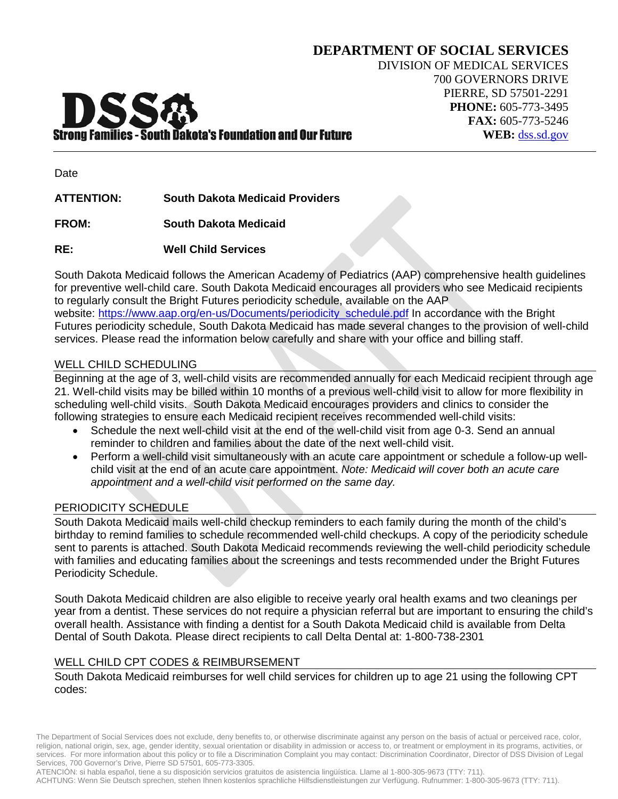# Strong Families - South Dakota's Foundation and Our Future

Date

**ATTENTION: South Dakota Medicaid Providers**

**FROM: South Dakota Medicaid**

**RE: Well Child Services**

South Dakota Medicaid follows the American Academy of Pediatrics (AAP) comprehensive health guidelines for preventive well-child care. South Dakota Medicaid encourages all providers who see Medicaid recipients to regularly consult the Bright Futures periodicity schedule, available on the AAP website: [https://www.aap.org/en-us/Documents/periodicity\\_schedule.pdf](https://www.aap.org/en-us/Documents/periodicity_schedule.pdf) In accordance with the Bright Futures periodicity schedule, South Dakota Medicaid has made several changes to the provision of well-child services. Please read the information below carefully and share with your office and billing staff.

#### WELL CHILD SCHEDULING

Beginning at the age of 3, well-child visits are recommended annually for each Medicaid recipient through age 21. Well-child visits may be billed within 10 months of a previous well-child visit to allow for more flexibility in scheduling well-child visits. South Dakota Medicaid encourages providers and clinics to consider the following strategies to ensure each Medicaid recipient receives recommended well-child visits:

- Schedule the next well-child visit at the end of the well-child visit from age 0-3. Send an annual reminder to children and families about the date of the next well-child visit.
- Perform a well-child visit simultaneously with an acute care appointment or schedule a follow-up wellchild visit at the end of an acute care appointment. *Note: Medicaid will cover both an acute care appointment and a well-child visit performed on the same day.*

## PERIODICITY SCHEDULE

South Dakota Medicaid mails well-child checkup reminders to each family during the month of the child's birthday to remind families to schedule recommended well-child checkups. A copy of the periodicity schedule sent to parents is attached. South Dakota Medicaid recommends reviewing the well-child periodicity schedule with families and educating families about the screenings and tests recommended under the Bright Futures Periodicity Schedule.

South Dakota Medicaid children are also eligible to receive yearly oral health exams and two cleanings per year from a dentist. These services do not require a physician referral but are important to ensuring the child's overall health. Assistance with finding a dentist for a South Dakota Medicaid child is available from Delta Dental of South Dakota. Please direct recipients to call Delta Dental at: 1-800-738-2301

## WELL CHILD CPT CODES & REIMBURSEMENT

South Dakota Medicaid reimburses for well child services for children up to age 21 using the following CPT codes:

The Department of Social Services does not exclude, deny benefits to, or otherwise discriminate against any person on the basis of actual or perceived race, color, religion, national origin, sex, age, gender identity, sexual orientation or disability in admission or access to, or treatment or employment in its programs, activities, or services. For more information about this policy or to file a Discrimination Complaint you may contact: Discrimination Coordinator, Director of DSS Division of Legal Services, 700 Governor's Drive, Pierre SD 57501, 605-773-3305.

ATENCIÓN: si habla español, tiene a su disposición servicios gratuitos de asistencia lingüística. Llame al 1-800-305-9673 (TTY: 711).

ACHTUNG: Wenn Sie Deutsch sprechen, stehen Ihnen kostenlos sprachliche Hilfsdienstleistungen zur Verfügung. Rufnummer: 1-800-305-9673 (TTY: 711).